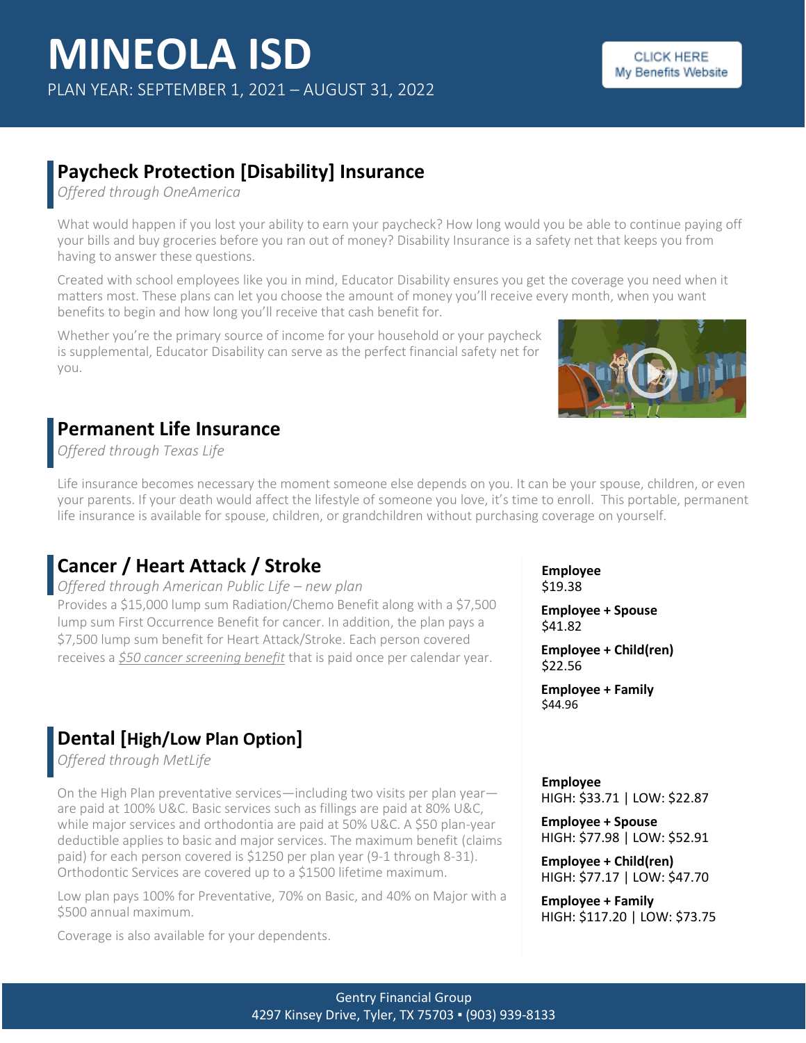## **Paycheck Protection [Disability] Insurance**

*Offered through OneAmerica*

What would happen if you lost your ability to earn your paycheck? How long would you be able to continue paying off your bills and buy groceries before you ran out of money? Disability Insurance is a safety net that keeps you from having to answer these questions.

Created with school employees like you in mind, Educator Disability ensures you get the coverage you need when it matters most. These plans can let you choose the amount of money you'll receive every month, when you want benefits to begin and how long you'll receive that cash benefit for.

Whether you're the primary source of income for your household or your paycheck is supplemental, Educator Disability can serve as the perfect financial safety net for you.

## **Permanent Life Insurance**

*Offered through Texas Life*

Life insurance becomes necessary the moment someone else depends on you. It can be your spouse, children, or even your parents. If your death would affect the lifestyle of someone you love, it's time to enroll. This portable, permanent life insurance is available for spouse, children, or grandchildren without purchasing coverage on yourself.

## **Cancer / Heart Attack / Stroke**

*Offered through American Public Life – new plan* Provides a \$15,000 lump sum Radiation/Chemo Benefit along with a \$7,500 lump sum First Occurrence Benefit for cancer. In addition, the plan pays a \$7,500 lump sum benefit for Heart Attack/Stroke. Each person covered receives a *\$50 cancer screening benefit* that is paid once per calendar year.

## **Dental [High/Low Plan Option]**

*Offered through MetLife*

On the High Plan preventative services—including two visits per plan year are paid at 100% U&C. Basic services such as fillings are paid at 80% U&C, while major services and orthodontia are paid at 50% U&C. A \$50 plan-year deductible applies to basic and major services. The maximum benefit (claims paid) for each person covered is \$1250 per plan year (9-1 through 8-31). Orthodontic Services are covered up to a \$1500 lifetime maximum.

Low plan pays 100% for Preventative, 70% on Basic, and 40% on Major with a \$500 annual maximum.

Coverage is also available for your dependents.

**Employee** \$19.38

**Employee + Spouse** \$41.82

**Employee + Child(ren)** \$22.56

**Employee + Family** \$44.96

**Employee** HIGH: \$33.71 | LOW: \$22.87

**Employee + Spouse** HIGH: \$77.98 | LOW: \$52.91

**Employee + Child(ren)** HIGH: \$77.17 | LOW: \$47.70

**Employee + Family** HIGH: \$117.20 | LOW: \$73.75

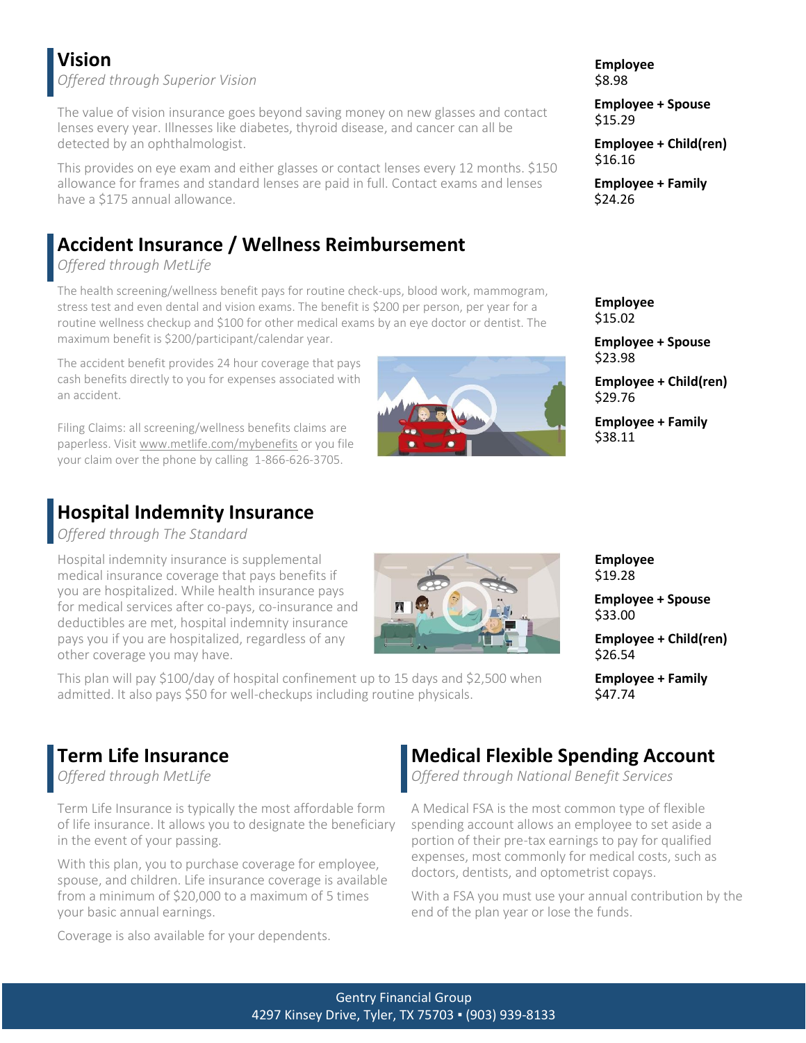# **Vision**

*Offered through Superior Vision*

The value of vision insurance goes beyond saving money on new glasses and contact lenses every year. Illnesses like diabetes, thyroid disease, and cancer can all be detected by an ophthalmologist.

This provides on eye exam and either glasses or contact lenses every 12 months. \$150 allowance for frames and standard lenses are paid in full. Contact exams and lenses have a \$175 annual allowance.

# **Accident Insurance / Wellness Reimbursement**

### *Offered through MetLife*

The health screening/wellness benefit pays for routine check-ups, blood work, mammogram, stress test and even dental and vision exams. The benefit is \$200 per person, per year for a routine wellness checkup and \$100 for other medical exams by an eye doctor or dentist. The maximum benefit is \$200/participant/calendar year.

The accident benefit provides 24 hour coverage that pays cash benefits directly to you for expenses associated with an accident.

Filing Claims: all screening/wellness benefits claims are paperless. Visit [www.metlife.com/mybenefits](http://www.metlife.com/mybenefits) or you file your claim over the phone by calling 1-866-626-3705.

## **Hospital Indemnity Insurance**

*Offered through The Standard*

Hospital indemnity insurance is supplemental medical insurance coverage that pays benefits if you are hospitalized. While health insurance pays for medical services after co-pays, co-insurance and deductibles are met, hospital indemnity insurance pays you if you are hospitalized, regardless of any other coverage you may have.

This plan will pay \$100/day of hospital confinement up to 15 days and \$2,500 when admitted. It also pays \$50 for well-checkups including routine physicals.

#### **Term Life Insurance** *Offered through MetLife*

Term Life Insurance is typically the most affordable form of life insurance. It allows you to designate the beneficiary in the event of your passing.

With this plan, you to purchase coverage for employee, spouse, and children. Life insurance coverage is available from a minimum of \$20,000 to a maximum of 5 times your basic annual earnings.

Coverage is also available for your dependents.

\$33.00 **Employee + Child(ren)** \$26.54

**Employee + Family**

**Employee + Spouse**

\$47.74

**Employee** \$19.28

# **Medical Flexible Spending Account**

*Offered through National Benefit Services*

A Medical FSA is the most common type of flexible spending account allows an employee to set aside a portion of their pre-tax earnings to pay for qualified expenses, most commonly for medical costs, such as doctors, dentists, and optometrist copays.

With a FSA you must use your annual contribution by the end of the plan year or lose the funds.

\$8.98 **Employee + Spouse** \$15.29

**Employee**

**Employee + Child(ren)** \$16.16

**Employee + Family** \$24.26

**Employee** \$15.02

**Employee + Spouse** \$23.98

**Employee + Child(ren)** \$29.76

**Employee + Family** \$38.11